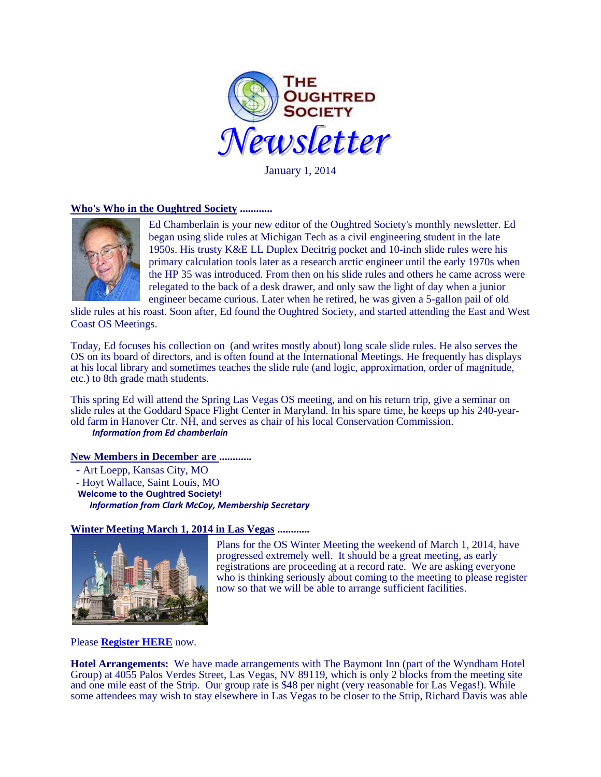

January 1, 2014

## **Who's Who in the Oughtred Society ............**



Ed Chamberlain is your new editor of the Oughtred Society's monthly newsletter. Ed began using slide rules at Michigan Tech as a civil engineering student in the late 1950s. His trusty K&E LL Duplex Decitrig pocket and 10-inch slide rules were his primary calculation tools later as a research arctic engineer until the early 1970s when the HP 35 was introduced. From then on his slide rules and others he came across were relegated to the back of a desk drawer, and only saw the light of day when a junior engineer became curious. Later when he retired, he was given a 5-gallon pail of old

slide rules at his roast. Soon after, Ed found the Oughtred Society, and started attending the East and West Coast OS Meetings.

Today, Ed focuses his collection on (and writes mostly about) long scale slide rules. He also serves the OS on its board of directors, and is often found at the International Meetings. He frequently has displays at his local library and sometimes teaches the slide rule (and logic, approximation, order of magnitude, etc.) to 8th grade math students.

This spring Ed will attend the Spring Las Vegas OS meeting, and on his return trip, give a seminar on slide rules at the Goddard Space Flight Center in Maryland. In his spare time, he keeps up his 240-yearold farm in Hanover Ctr. NH, and serves as chair of his local Conservation Commission.  *Information from Ed chamberlain*

#### **New Members in December are ............**

- Art Loepp, Kansas City, MO - Hoyt Wallace, Saint Louis, MO  **Welcome to the Oughtred Society!** *Information from Clark McCoy, Membership Secretary*

**Winter Meeting March 1, 2014 in Las Vegas ............**



Plans for the OS Winter Meeting the weekend of March 1, 2014, have progressed extremely well. It should be a great meeting, as early registrations are proceeding at a record rate. We are asking everyone who is thinking seriously about coming to the meeting to please register now so that we will be able to arrange sufficient facilities.

Please **[Register HERE](http://www.oughtred.org/WinterMeeting_2014.shtml)** now.

**Hotel Arrangements:** We have made arrangements with The Baymont Inn (part of the Wyndham Hotel Group) at 4055 Palos Verdes Street, Las Vegas, NV 89119, which is only 2 blocks from the meeting site and one mile east of the Strip. Our group rate is \$48 per night (very reasonable for Las Vegas!). While some attendees may wish to stay elsewhere in Las Vegas to be closer to the Strip, Richard Davis was able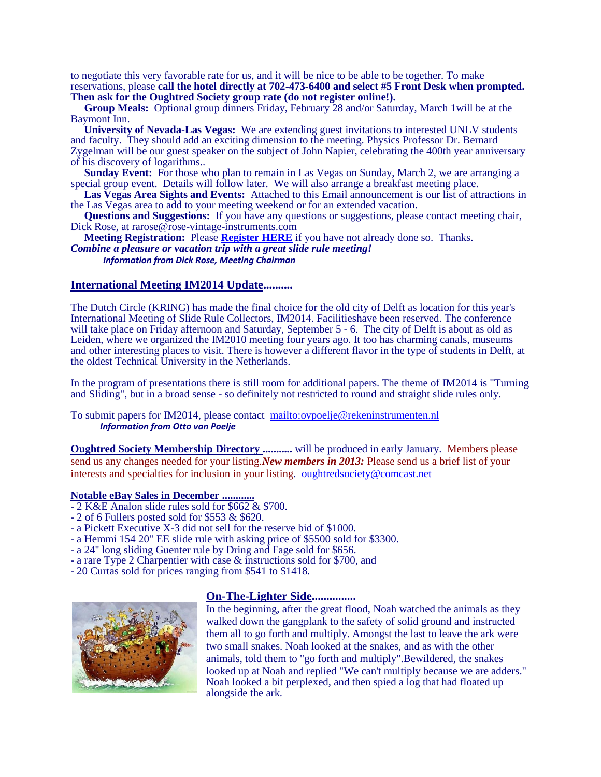to negotiate this very favorable rate for us, and it will be nice to be able to be together. To make reservations, please **call the hotel directly at 702-473-6400 and select #5 Front Desk when prompted. Then ask for the Oughtred Society group rate (do not register online!).** 

 **Group Meals:** Optional group dinners Friday, February 28 and/or Saturday, March 1will be at the Baymont Inn.

 **University of Nevada-Las Vegas:** We are extending guest invitations to interested UNLV students and faculty. They should add an exciting dimension to the meeting. Physics Professor Dr. Bernard Zygelman will be our guest speaker on the subject of John Napier, celebrating the 400th year anniversary of his discovery of logarithms..

**Sunday Event:** For those who plan to remain in Las Vegas on Sunday, March 2, we are arranging a special group event. Details will follow later. We will also arrange a breakfast meeting place.

 **Las Vegas Area Sights and Events:** Attached to this Email announcement is our list of attractions in the Las Vegas area to add to your meeting weekend or for an extended vacation.

 **Questions and Suggestions:** If you have any questions or suggestions, please contact meeting chair, Dick Rose, at rarose@rose-vintage-instruments.com

 **Meeting Registration:** Please **[Register HERE](http://www.oughtred.org/WinterMeeting_2014.shtml)** if you have not already done so. Thanks. *Combine a pleasure or vacation trip with a great slide rule meeting! Information from Dick Rose, Meeting Chairman*

## **International Meeting IM2014 Update..........**

The Dutch Circle (KRING) has made the final choice for the old city of Delft as location for this year's International Meeting of Slide Rule Collectors, IM2014. Facilitieshave been reserved. The conference will take place on Friday afternoon and Saturday, September 5 - 6. The city of Delft is about as old as Leiden, where we organized the IM2010 meeting four years ago. It too has charming canals, museums and other interesting places to visit. There is however a different flavor in the type of students in Delft, at the oldest Technical University in the Netherlands.

In the program of presentations there is still room for additional papers. The theme of IM2014 is "Turning and Sliding", but in a broad sense - so definitely not restricted to round and straight slide rules only.

To submit papers for IM2014, please contact <mailto:ovpoelje@rekeninstrumenten.nl> *Information from Otto van Poelje*

**Oughtred Society Membership Directory ...........** will be produced in early January. Members please send us any changes needed for your listing.*New members in 2013:* Please send us a brief list of your interests and specialties for inclusion in your listing. [oughtredsociety@comcast.net](mailto:oughtredsociety@comcast.net)

## **Notable eBay Sales in December ............**

- 2 K&E Analon slide rules sold for \$662 & \$700.
- 2 of 6 Fullers posted sold for \$553 & \$620.
- a Pickett Executive X-3 did not sell for the reserve bid of \$1000.
- a Hemmi 154 20" EE slide rule with asking price of \$5500 sold for \$3300.
- a 24'' long sliding Guenter rule by Dring and Fage sold for \$656.
- a rare Type 2 Charpentier with case & instructions sold for \$700, and
- 20 Curtas sold for prices ranging from \$541 to \$1418.



# **On-The-Lighter Side...............**

In the beginning, after the great flood, Noah watched the animals as they walked down the gangplank to the safety of solid ground and instructed them all to go forth and multiply. Amongst the last to leave the ark were two small snakes. Noah looked at the snakes, and as with the other animals, told them to "go forth and multiply".Bewildered, the snakes looked up at Noah and replied "We can't multiply because we are adders." Noah looked a bit perplexed, and then spied a log that had floated up alongside the ark.